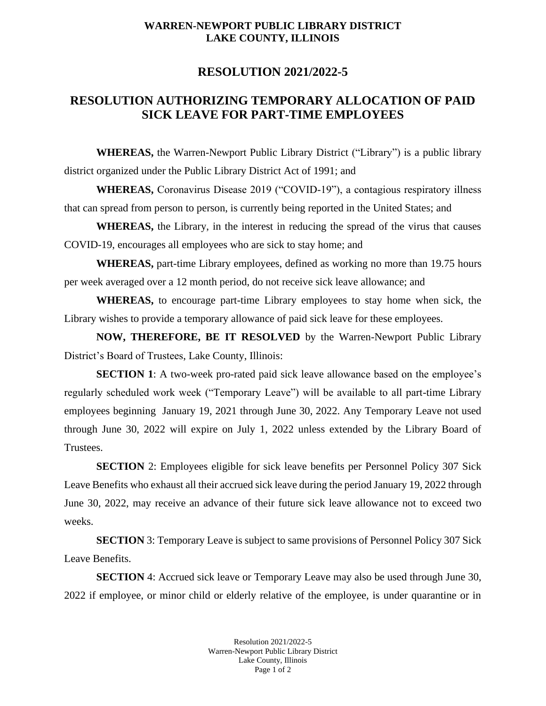## **WARREN-NEWPORT PUBLIC LIBRARY DISTRICT LAKE COUNTY, ILLINOIS**

## **RESOLUTION 2021/2022-5**

## **RESOLUTION AUTHORIZING TEMPORARY ALLOCATION OF PAID SICK LEAVE FOR PART-TIME EMPLOYEES**

**WHEREAS,** the Warren-Newport Public Library District ("Library") is a public library district organized under the Public Library District Act of 1991; and

**WHEREAS,** Coronavirus Disease 2019 ("COVID-19"), a contagious respiratory illness that can spread from person to person, is currently being reported in the United States; and

**WHEREAS,** the Library, in the interest in reducing the spread of the virus that causes COVID-19, encourages all employees who are sick to stay home; and

**WHEREAS,** part-time Library employees, defined as working no more than 19.75 hours per week averaged over a 12 month period, do not receive sick leave allowance; and

**WHEREAS,** to encourage part-time Library employees to stay home when sick, the Library wishes to provide a temporary allowance of paid sick leave for these employees.

**NOW, THEREFORE, BE IT RESOLVED** by the Warren-Newport Public Library District's Board of Trustees, Lake County, Illinois:

**SECTION 1**: A two-week pro-rated paid sick leave allowance based on the employee's regularly scheduled work week ("Temporary Leave") will be available to all part-time Library employees beginning January 19, 2021 through June 30, 2022. Any Temporary Leave not used through June 30, 2022 will expire on July 1, 2022 unless extended by the Library Board of Trustees.

**SECTION** 2: Employees eligible for sick leave benefits per Personnel Policy 307 Sick Leave Benefits who exhaust all their accrued sick leave during the period January 19, 2022 through June 30, 2022, may receive an advance of their future sick leave allowance not to exceed two weeks.

**SECTION** 3: Temporary Leave is subject to same provisions of Personnel Policy 307 Sick Leave Benefits.

**SECTION** 4: Accrued sick leave or Temporary Leave may also be used through June 30, 2022 if employee, or minor child or elderly relative of the employee, is under quarantine or in